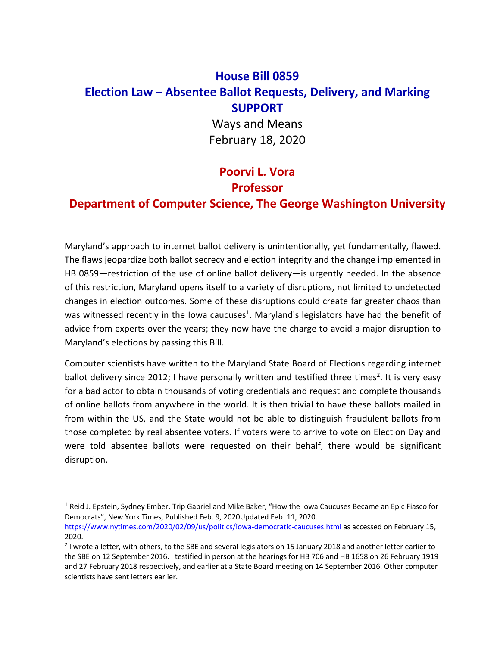# **House Bill 0859 Election Law – Absentee Ballot Requests, Delivery, and Marking SUPPORT**

Ways and Means February 18, 2020

# **Poorvi L. Vora Professor**

## **Department of Computer Science, The George Washington University**

Maryland's approach to internet ballot delivery is unintentionally, yet fundamentally, flawed. The flaws jeopardize both ballot secrecy and election integrity and the change implemented in HB 0859—restriction of the use of online ballot delivery—is urgently needed. In the absence of this restriction, Maryland opens itself to a variety of disruptions, not limited to undetected changes in election outcomes. Some of these disruptions could create far greater chaos than was witnessed recently in the Iowa caucuses<sup>1</sup>. Maryland's legislators have had the benefit of advice from experts over the years; they now have the charge to avoid a major disruption to Maryland's elections by passing this Bill.

Computer scientists have written to the Maryland State Board of Elections regarding internet ballot delivery since 2012; I have personally written and testified three times<sup>2</sup>. It is very easy for a bad actor to obtain thousands of voting credentials and request and complete thousands of online ballots from anywhere in the world. It is then trivial to have these ballots mailed in from within the US, and the State would not be able to distinguish fraudulent ballots from those completed by real absentee voters. If voters were to arrive to vote on Election Day and were told absentee ballots were requested on their behalf, there would be significant disruption.

<sup>&</sup>lt;sup>1</sup> Reid J. Epstein, Sydney Ember, Trip Gabriel and Mike Baker, "How the Iowa Caucuses Became an Epic Fiasco for Democrats", New York Times, Published Feb. 9, 2020Updated Feb. 11, 2020.

https://www.nytimes.com/2020/02/09/us/politics/iowa-democratic-caucuses.html as accessed on February 15, 2020.

<sup>&</sup>lt;sup>2</sup> I wrote a letter, with others, to the SBE and several legislators on 15 January 2018 and another letter earlier to the SBE on 12 September 2016. I testified in person at the hearings for HB 706 and HB 1658 on 26 February 1919 and 27 February 2018 respectively, and earlier at a State Board meeting on 14 September 2016. Other computer scientists have sent letters earlier.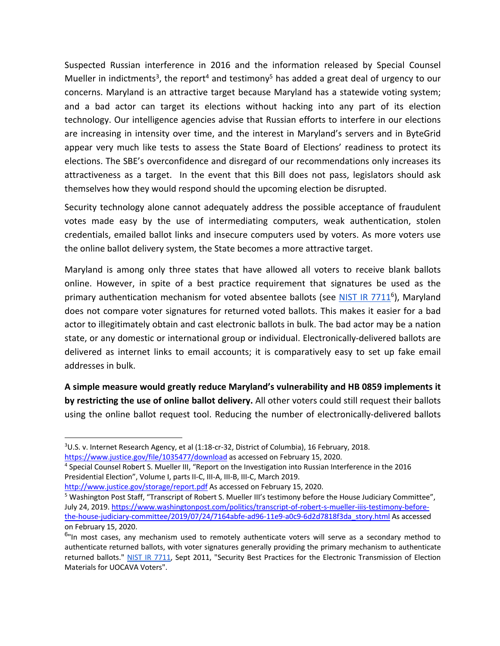Suspected Russian interference in 2016 and the information released by Special Counsel Mueller in indictments<sup>3</sup>, the report<sup>4</sup> and testimony<sup>5</sup> has added a great deal of urgency to our concerns. Maryland is an attractive target because Maryland has a statewide voting system; and a bad actor can target its elections without hacking into any part of its election technology. Our intelligence agencies advise that Russian efforts to interfere in our elections are increasing in intensity over time, and the interest in Maryland's servers and in ByteGrid appear very much like tests to assess the State Board of Elections' readiness to protect its elections. The SBE's overconfidence and disregard of our recommendations only increases its attractiveness as a target. In the event that this Bill does not pass, legislators should ask themselves how they would respond should the upcoming election be disrupted.

Security technology alone cannot adequately address the possible acceptance of fraudulent votes made easy by the use of intermediating computers, weak authentication, stolen credentials, emailed ballot links and insecure computers used by voters. As more voters use the online ballot delivery system, the State becomes a more attractive target.

Maryland is among only three states that have allowed all voters to receive blank ballots online. However, in spite of a best practice requirement that signatures be used as the primary authentication mechanism for voted absentee ballots (see NIST IR 7711<sup>6</sup>), Maryland does not compare voter signatures for returned voted ballots. This makes it easier for a bad actor to illegitimately obtain and cast electronic ballots in bulk. The bad actor may be a nation state, or any domestic or international group or individual. Electronically-delivered ballots are delivered as internet links to email accounts; it is comparatively easy to set up fake email addresses in bulk.

**A simple measure would greatly reduce Maryland's vulnerability and HB 0859 implements it by restricting the use of online ballot delivery.** All other voters could still request their ballots using the online ballot request tool. Reducing the number of electronically-delivered ballots

https://www.justice.gov/file/1035477/download as accessed on February 15, 2020.<br><sup>4</sup> Special Counsel Robert S. Mueller III, "Report on the Investigation into Russian Interference in the 2016 Presidential Election", Volume I, parts II-C, III-A, III-B, III-C, March 2019.

<sup>3</sup> U.S. v. Internet Research Agency, et al (1:18-cr-32, District of Columbia), 16 February, 2018.

http://www.justice.gov/storage/report.pdf As accessed on February 15, 2020.<br><sup>5</sup> Washington Post Staff, "Transcript of Robert S. Mueller III's testimony before the House Judiciary Committee", July 24, 2019. https://www.washingtonpost.com/politics/transcript-of-robert-s-mueller-iiis-testimony-beforethe-house-judiciary-committee/2019/07/24/7164abfe-ad96-11e9-a0c9-6d2d7818f3da\_story.html As accessed on February 15, 2020.

<sup>&</sup>lt;sup>6</sup>"In most cases, any mechanism used to remotely authenticate voters will serve as a secondary method to authenticate returned ballots, with voter signatures generally providing the primary mechanism to authenticate returned ballots." NIST IR 7711, Sept 2011, "Security Best Practices for the Electronic Transmission of Election Materials for UOCAVA Voters".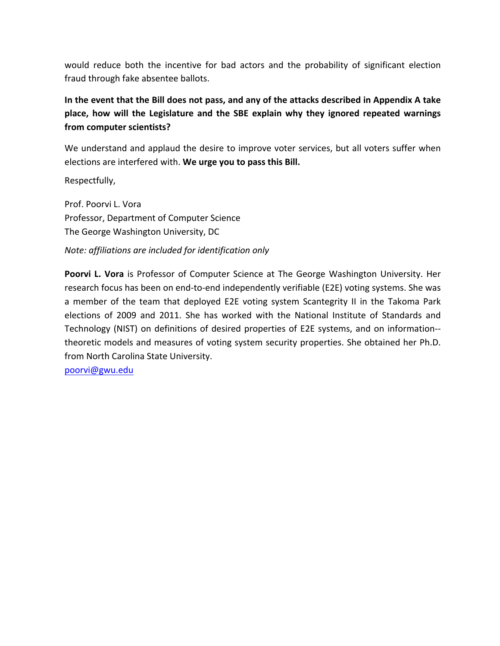would reduce both the incentive for bad actors and the probability of significant election fraud through fake absentee ballots.

## **In the event that the Bill does not pass, and any of the attacks described in Appendix A take place, how will the Legislature and the SBE explain why they ignored repeated warnings from computer scientists?**

We understand and applaud the desire to improve voter services, but all voters suffer when elections are interfered with. **We urge you to pass this Bill.**

Respectfully,

Prof. Poorvi L. Vora Professor, Department of Computer Science The George Washington University, DC

#### *Note: affiliations are included for identification only*

**Poorvi L. Vora** is Professor of Computer Science at The George Washington University. Her research focus has been on end-to-end independently verifiable (E2E) voting systems. She was a member of the team that deployed E2E voting system Scantegrity II in the Takoma Park elections of 2009 and 2011. She has worked with the National Institute of Standards and Technology (NIST) on definitions of desired properties of E2E systems, and on information- theoretic models and measures of voting system security properties. She obtained her Ph.D. from North Carolina State University.

poorvi@gwu.edu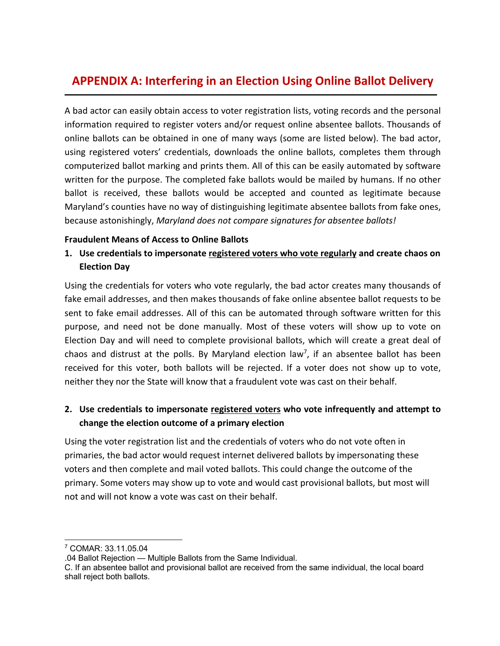# **APPENDIX A: Interfering in an Election Using Online Ballot Delivery**

A bad actor can easily obtain access to voter registration lists, voting records and the personal information required to register voters and/or request online absentee ballots. Thousands of online ballots can be obtained in one of many ways (some are listed below). The bad actor, using registered voters' credentials, downloads the online ballots, completes them through computerized ballot marking and prints them. All of this can be easily automated by software written for the purpose. The completed fake ballots would be mailed by humans. If no other ballot is received, these ballots would be accepted and counted as legitimate because Maryland's counties have no way of distinguishing legitimate absentee ballots from fake ones, because astonishingly, *Maryland does not compare signatures for absentee ballots!*

#### **Fraudulent Means of Access to Online Ballots**

### **1. Use credentials to impersonate registered voters who vote regularly and create chaos on Election Day**

Using the credentials for voters who vote regularly, the bad actor creates many thousands of fake email addresses, and then makes thousands of fake online absentee ballot requests to be sent to fake email addresses. All of this can be automated through software written for this purpose, and need not be done manually. Most of these voters will show up to vote on Election Day and will need to complete provisional ballots, which will create a great deal of chaos and distrust at the polls. By Maryland election law<sup>7</sup>, if an absentee ballot has been received for this voter, both ballots will be rejected. If a voter does not show up to vote, neither they nor the State will know that a fraudulent vote was cast on their behalf.

### **2. Use credentials to impersonate registered voters who vote infrequently and attempt to change the election outcome of a primary election**

Using the voter registration list and the credentials of voters who do not vote often in primaries, the bad actor would request internet delivered ballots by impersonating these voters and then complete and mail voted ballots. This could change the outcome of the primary. Some voters may show up to vote and would cast provisional ballots, but most will not and will not know a vote was cast on their behalf.

<sup>7</sup> COMAR: 33.11.05.04

<sup>.04</sup> Ballot Rejection — Multiple Ballots from the Same Individual.

C. If an absentee ballot and provisional ballot are received from the same individual, the local board shall reject both ballots.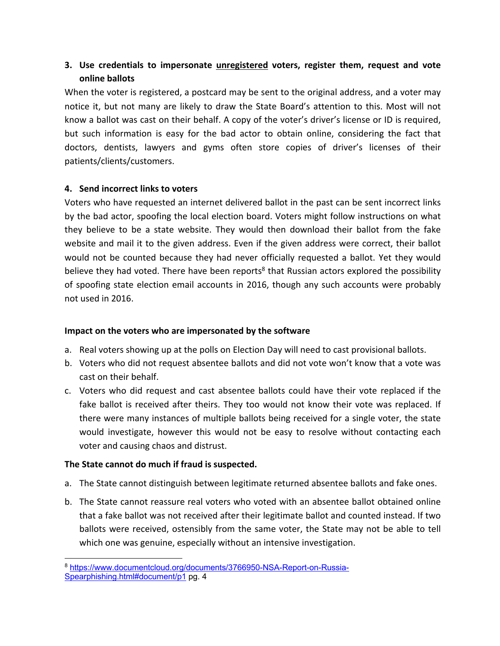### **3. Use credentials to impersonate unregistered voters, register them, request and vote online ballots**

When the voter is registered, a postcard may be sent to the original address, and a voter may notice it, but not many are likely to draw the State Board's attention to this. Most will not know a ballot was cast on their behalf. A copy of the voter's driver's license or ID is required, but such information is easy for the bad actor to obtain online, considering the fact that doctors, dentists, lawyers and gyms often store copies of driver's licenses of their patients/clients/customers.

#### **4. Send incorrect links to voters**

Voters who have requested an internet delivered ballot in the past can be sent incorrect links by the bad actor, spoofing the local election board. Voters might follow instructions on what they believe to be a state website. They would then download their ballot from the fake website and mail it to the given address. Even if the given address were correct, their ballot would not be counted because they had never officially requested a ballot. Yet they would believe they had voted. There have been reports<sup>8</sup> that Russian actors explored the possibility of spoofing state election email accounts in 2016, though any such accounts were probably not used in 2016.

#### **Impact on the voters who are impersonated by the software**

- a. Real voters showing up at the polls on Election Day will need to cast provisional ballots.
- b. Voters who did not request absentee ballots and did not vote won't know that a vote was cast on their behalf.
- c. Voters who did request and cast absentee ballots could have their vote replaced if the fake ballot is received after theirs. They too would not know their vote was replaced. If there were many instances of multiple ballots being received for a single voter, the state would investigate, however this would not be easy to resolve without contacting each voter and causing chaos and distrust.

#### **The State cannot do much if fraud is suspected.**

- a. The State cannot distinguish between legitimate returned absentee ballots and fake ones.
- b. The State cannot reassure real voters who voted with an absentee ballot obtained online that a fake ballot was not received after their legitimate ballot and counted instead. If two ballots were received, ostensibly from the same voter, the State may not be able to tell which one was genuine, especially without an intensive investigation.

<sup>8</sup> https://www.documentcloud.org/documents/3766950-NSA-Report-on-Russia-Spearphishing.html#document/p1 pg. 4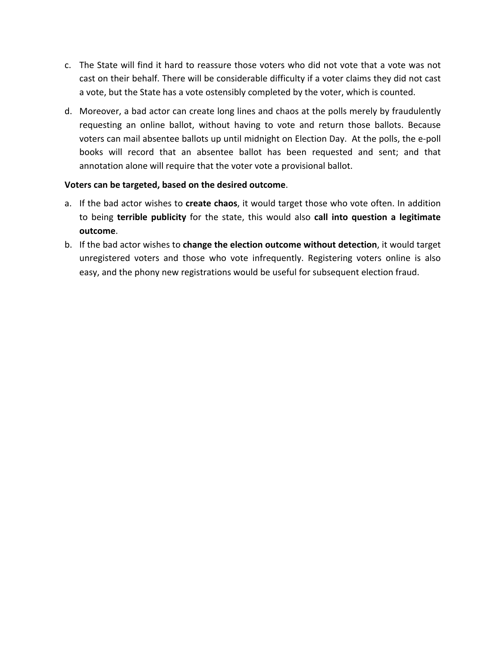- c. The State will find it hard to reassure those voters who did not vote that a vote was not cast on their behalf. There will be considerable difficulty if a voter claims they did not cast a vote, but the State has a vote ostensibly completed by the voter, which is counted.
- d. Moreover, a bad actor can create long lines and chaos at the polls merely by fraudulently requesting an online ballot, without having to vote and return those ballots. Because voters can mail absentee ballots up until midnight on Election Day. At the polls, the e-poll books will record that an absentee ballot has been requested and sent; and that annotation alone will require that the voter vote a provisional ballot.

#### **Voters can be targeted, based on the desired outcome**.

- a. If the bad actor wishes to **create chaos**, it would target those who vote often. In addition to being **terrible publicity** for the state, this would also **call into question a legitimate outcome**.
- b. If the bad actor wishes to **change the election outcome without detection**, it would target unregistered voters and those who vote infrequently. Registering voters online is also easy, and the phony new registrations would be useful for subsequent election fraud.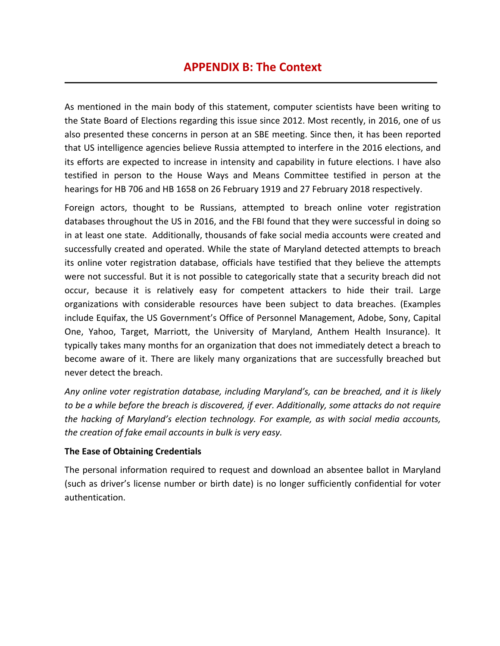## **APPENDIX B: The Context**

As mentioned in the main body of this statement, computer scientists have been writing to the State Board of Elections regarding this issue since 2012. Most recently, in 2016, one of us also presented these concerns in person at an SBE meeting. Since then, it has been reported that US intelligence agencies believe Russia attempted to interfere in the 2016 elections, and its efforts are expected to increase in intensity and capability in future elections. I have also testified in person to the House Ways and Means Committee testified in person at the hearings for HB 706 and HB 1658 on 26 February 1919 and 27 February 2018 respectively.

Foreign actors, thought to be Russians, attempted to breach online voter registration databases throughout the US in 2016, and the FBI found that they were successful in doing so in at least one state. Additionally, thousands of fake social media accounts were created and successfully created and operated. While the state of Maryland detected attempts to breach its online voter registration database, officials have testified that they believe the attempts were not successful. But it is not possible to categorically state that a security breach did not occur, because it is relatively easy for competent attackers to hide their trail. Large organizations with considerable resources have been subject to data breaches. (Examples include Equifax, the US Government's Office of Personnel Management, Adobe, Sony, Capital One, Yahoo, Target, Marriott, the University of Maryland, Anthem Health Insurance). It typically takes many months for an organization that does not immediately detect a breach to become aware of it. There are likely many organizations that are successfully breached but never detect the breach.

*Any online voter registration database, including Maryland's, can be breached, and it is likely to be a while before the breach is discovered, if ever. Additionally, some attacks do not require the hacking of Maryland's election technology. For example, as with social media accounts, the creation of fake email accounts in bulk is very easy.*

#### **The Ease of Obtaining Credentials**

The personal information required to request and download an absentee ballot in Maryland (such as driver's license number or birth date) is no longer sufficiently confidential for voter authentication.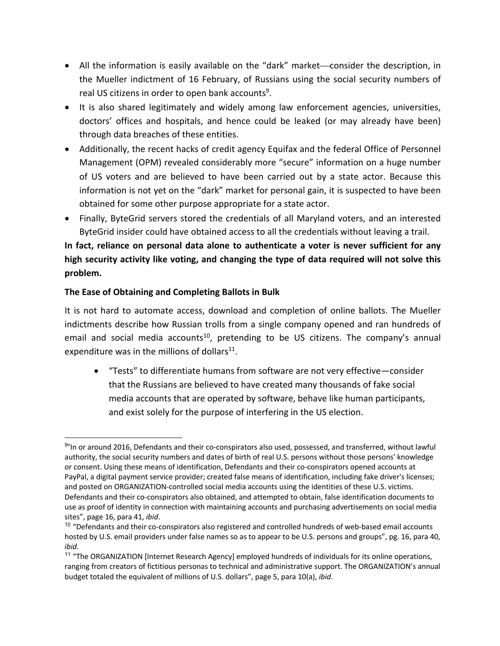- All the information is easily available on the "dark" market—consider the description, in the Mueller indictment of 16 February, of Russians using the social security numbers of real US citizens in order to open bank accounts<sup>9</sup>.
- It is also shared legitimately and widely among law enforcement agencies, universities, doctors' offices and hospitals, and hence could be leaked (or may already have been) through data breaches of these entities.
- Additionally, the recent hacks of credit agency Equifax and the federal Office of Personnel Management (OPM) revealed considerably more "secure" information on a huge number of US voters and are believed to have been carried out by a state actor. Because this information is not yet on the "dark" market for personal gain, it is suspected to have been obtained for some other purpose appropriate for a state actor.
- Finally, ByteGrid servers stored the credentials of all Maryland voters, and an interested ByteGrid insider could have obtained access to all the credentials without leaving a trail.

## **In fact, reliance on personal data alone to authenticate a voter is never sufficient for any high security activity like voting, and changing the type of data required will not solve this problem.**

#### **The Ease of Obtaining and Completing Ballots in Bulk**

It is not hard to automate access, download and completion of online ballots. The Mueller indictments describe how Russian trolls from a single company opened and ran hundreds of email and social media accounts<sup>10</sup>, pretending to be US citizens. The company's annual expenditure was in the millions of dollars $11$ .

• "Tests" to differentiate humans from software are not very effective—consider that the Russians are believed to have created many thousands of fake social media accounts that are operated by software, behave like human participants, and exist solely for the purpose of interfering in the US election.

<sup>9&</sup>quot;In or around 2016, Defendants and their co-conspirators also used, possessed, and transferred, without lawful authority, the social security numbers and dates of birth of real U.S. persons without those persons' knowledge or consent. Using these means of identification, Defendants and their co-conspirators opened accounts at PayPal, a digital payment service provider; created false means of identification, including fake driver's licenses; and posted on ORGANIZATION-controlled social media accounts using the identities of these U.S. victims. Defendants and their co-conspirators also obtained, and attempted to obtain, false identification documents to use as proof of identity in connection with maintaining accounts and purchasing advertisements on social media sites", page 16, para 41, *ibid*.<br><sup>10</sup> "Defendants and their co-conspirators also registered and controlled hundreds of web-based email accounts

hosted by U.S. email providers under false names so as to appear to be U.S. persons and groups", pg. 16, para 40, *ibid*.

<sup>11</sup> "The ORGANIZATION [Internet Research Agency] employed hundreds of individuals for its online operations, ranging from creators of fictitious personas to technical and administrative support. The ORGANIZATION's annual budget totaled the equivalent of millions of U.S. dollars", page 5, para 10(a), *ibid*.